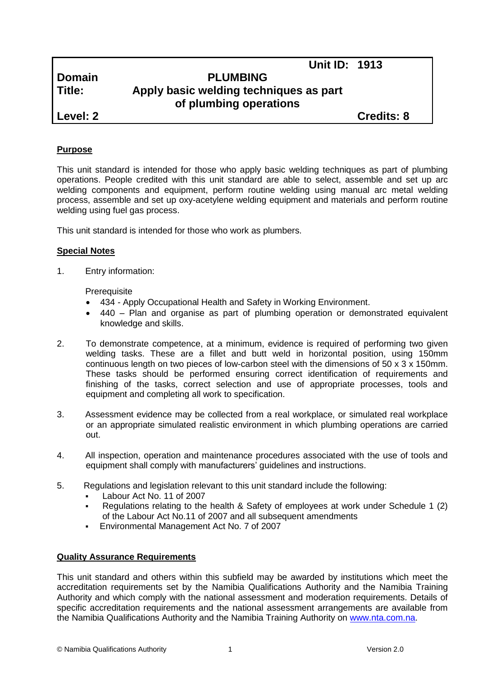|               | <b>Unit ID: 1913</b>                                             |                   |
|---------------|------------------------------------------------------------------|-------------------|
| <b>Domain</b> | <b>PLUMBING</b>                                                  |                   |
| Title:        | Apply basic welding techniques as part<br>of plumbing operations |                   |
| Level: 2      |                                                                  | <b>Credits: 8</b> |
|               |                                                                  |                   |

# **Purpose**

This unit standard is intended for those who apply basic welding techniques as part of plumbing operations. People credited with this unit standard are able to select, assemble and set up arc welding components and equipment, perform routine welding using manual arc metal welding process, assemble and set up oxy-acetylene welding equipment and materials and perform routine welding using fuel gas process.

This unit standard is intended for those who work as plumbers.

## **Special Notes**

1. Entry information:

**Prerequisite** 

- 434 *-* Apply Occupational Health and Safety in Working Environment.
- 440 Plan and organise as part of plumbing operation or demonstrated equivalent knowledge and skills.
- 2. To demonstrate competence, at a minimum, evidence is required of performing two given welding tasks. These are a fillet and butt weld in horizontal position, using 150mm continuous length on two pieces of low-carbon steel with the dimensions of 50 x 3 x 150mm. These tasks should be performed ensuring correct identification of requirements and finishing of the tasks, correct selection and use of appropriate processes, tools and equipment and completing all work to specification.
- 3. Assessment evidence may be collected from a real workplace, or simulated real workplace or an appropriate simulated realistic environment in which plumbing operations are carried out.
- 4. All inspection, operation and maintenance procedures associated with the use of tools and equipment shall comply with manufacturers' guidelines and instructions.
- 5. Regulations and legislation relevant to this unit standard include the following:
	- Labour Act No. 11 of 2007
	- Regulations relating to the health & Safety of employees at work under Schedule 1 (2) of the Labour Act No.11 of 2007 and all subsequent amendments
	- Environmental Management Act No. 7 of 2007

## **Quality Assurance Requirements**

This unit standard and others within this subfield may be awarded by institutions which meet the accreditation requirements set by the Namibia Qualifications Authority and the Namibia Training Authority and which comply with the national assessment and moderation requirements. Details of specific accreditation requirements and the national assessment arrangements are available from the Namibia Qualifications Authority and the Namibia Training Authority on [www.nta.com.na.](http://www.nta.com.na/)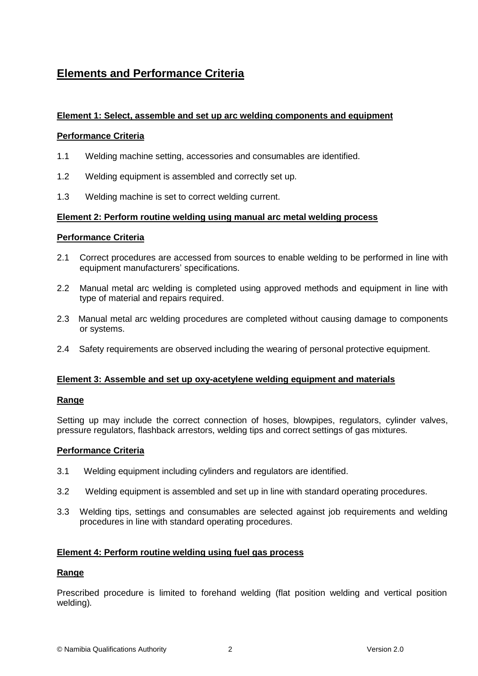# **Elements and Performance Criteria**

# **Element 1: Select, assemble and set up arc welding components and equipment**

#### **Performance Criteria**

- 1.1 Welding machine setting, accessories and consumables are identified.
- 1.2 Welding equipment is assembled and correctly set up.
- 1.3 Welding machine is set to correct welding current.

#### **Element 2: Perform routine welding using manual arc metal welding process**

#### **Performance Criteria**

- 2.1 Correct procedures are accessed from sources to enable welding to be performed in line with equipment manufacturers' specifications.
- 2.2 Manual metal arc welding is completed using approved methods and equipment in line with type of material and repairs required.
- 2.3 Manual metal arc welding procedures are completed without causing damage to components or systems.
- 2.4 Safety requirements are observed including the wearing of personal protective equipment.

## **Element 3: Assemble and set up oxy-acetylene welding equipment and materials**

## **Range**

Setting up may include the correct connection of hoses, blowpipes, regulators, cylinder valves, pressure regulators, flashback arrestors, welding tips and correct settings of gas mixtures*.*

#### **Performance Criteria**

- 3.1 Welding equipment including cylinders and regulators are identified.
- 3.2 Welding equipment is assembled and set up in line with standard operating procedures.
- 3.3 Welding tips, settings and consumables are selected against job requirements and welding procedures in line with standard operating procedures.

## **Element 4: Perform routine welding using fuel gas process**

#### **Range**

Prescribed procedure is limited to forehand welding (flat position welding and vertical position welding)*.*